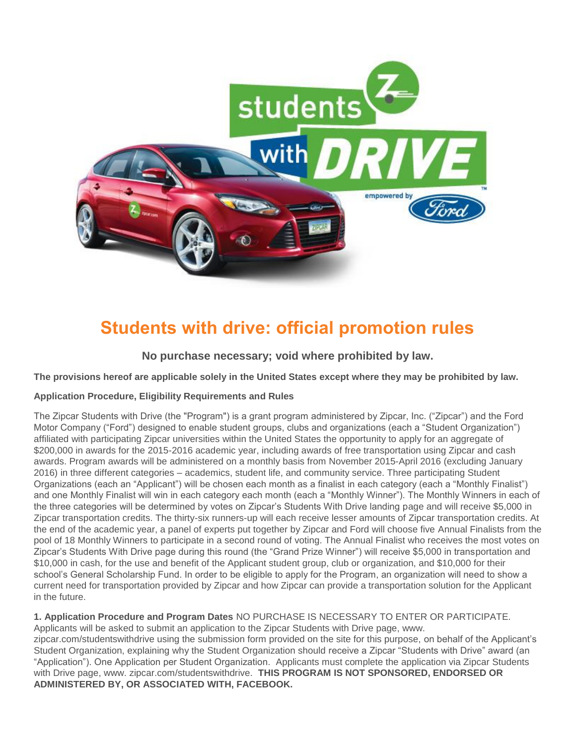

# **Students with drive: official promotion rules**

**No purchase necessary; void where prohibited by law.**

**The provisions hereof are applicable solely in the United States except where they may be prohibited by law.**

## **Application Procedure, Eligibility Requirements and Rules**

The Zipcar Students with Drive (the "Program") is a grant program administered by Zipcar, Inc. ("Zipcar") and the Ford Motor Company ("Ford") designed to enable student groups, clubs and organizations (each a "Student Organization") affiliated with participating Zipcar universities within the United States the opportunity to apply for an aggregate of \$200,000 in awards for the 2015-2016 academic year, including awards of free transportation using Zipcar and cash awards. Program awards will be administered on a monthly basis from November 2015-April 2016 (excluding January 2016) in three different categories – academics, student life, and community service. Three participating Student Organizations (each an "Applicant") will be chosen each month as a finalist in each category (each a "Monthly Finalist") and one Monthly Finalist will win in each category each month (each a "Monthly Winner"). The Monthly Winners in each of the three categories will be determined by votes on Zipcar's Students With Drive landing page and will receive \$5,000 in Zipcar transportation credits. The thirty-six runners-up will each receive lesser amounts of Zipcar transportation credits. At the end of the academic year, a panel of experts put together by Zipcar and Ford will choose five Annual Finalists from the pool of 18 Monthly Winners to participate in a second round of voting. The Annual Finalist who receives the most votes on Zipcar's Students With Drive page during this round (the "Grand Prize Winner") will receive \$5,000 in transportation and \$10,000 in cash, for the use and benefit of the Applicant student group, club or organization, and \$10,000 for their school's General Scholarship Fund. In order to be eligible to apply for the Program, an organization will need to show a current need for transportation provided by Zipcar and how Zipcar can provide a transportation solution for the Applicant in the future.

**1. Application Procedure and Program Dates** NO PURCHASE IS NECESSARY TO ENTER OR PARTICIPATE. Applicants will be asked to submit an application to the Zipcar Students with Drive page, www. zipcar.com/studentswithdrive using the submission form provided on the site for this purpose, on behalf of the Applicant's Student Organization, explaining why the Student Organization should receive a Zipcar "Students with Drive" award (an "Application"). One Application per Student Organization. Applicants must complete the application via Zipcar Students with Drive page, www. zipcar.com/studentswithdrive. **THIS PROGRAM IS NOT SPONSORED, ENDORSED OR ADMINISTERED BY, OR ASSOCIATED WITH, FACEBOOK.**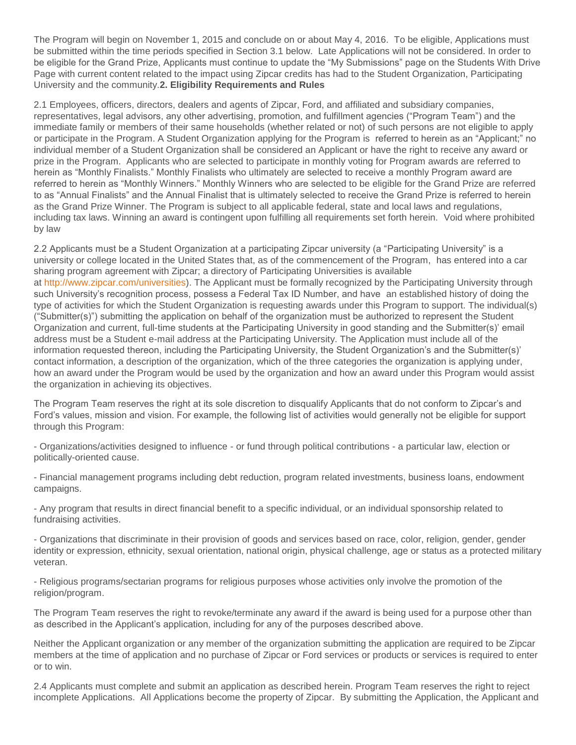The Program will begin on November 1, 2015 and conclude on or about May 4, 2016. To be eligible, Applications must be submitted within the time periods specified in Section 3.1 below. Late Applications will not be considered. In order to be eligible for the Grand Prize, Applicants must continue to update the "My Submissions" page on the Students With Drive Page with current content related to the impact using Zipcar credits has had to the Student Organization, Participating University and the community.**2. Eligibility Requirements and Rules**

2.1 Employees, officers, directors, dealers and agents of Zipcar, Ford, and affiliated and subsidiary companies, representatives, legal advisors, any other advertising, promotion, and fulfillment agencies ("Program Team") and the immediate family or members of their same households (whether related or not) of such persons are not eligible to apply or participate in the Program. A Student Organization applying for the Program is referred to herein as an "Applicant;" no individual member of a Student Organization shall be considered an Applicant or have the right to receive any award or prize in the Program. Applicants who are selected to participate in monthly voting for Program awards are referred to herein as "Monthly Finalists." Monthly Finalists who ultimately are selected to receive a monthly Program award are referred to herein as "Monthly Winners." Monthly Winners who are selected to be eligible for the Grand Prize are referred to as "Annual Finalists" and the Annual Finalist that is ultimately selected to receive the Grand Prize is referred to herein as the Grand Prize Winner. The Program is subject to all applicable federal, state and local laws and regulations, including tax laws. Winning an award is contingent upon fulfilling all requirements set forth herein. Void where prohibited by law

2.2 Applicants must be a Student Organization at a participating Zipcar university (a "Participating University" is a university or college located in the United States that, as of the commencement of the Program, has entered into a car sharing program agreement with Zipcar; a directory of Participating Universities is available at [http://www.zipcar.com/universities\)](http://www.zipcar.com/universities). The Applicant must be formally recognized by the Participating University through such University's recognition process, possess a Federal Tax ID Number, and have an established history of doing the type of activities for which the Student Organization is requesting awards under this Program to support. The individual(s) ("Submitter(s)") submitting the application on behalf of the organization must be authorized to represent the Student Organization and current, full-time students at the Participating University in good standing and the Submitter(s)' email address must be a Student e-mail address at the Participating University. The Application must include all of the information requested thereon, including the Participating University, the Student Organization's and the Submitter(s)' contact information, a description of the organization, which of the three categories the organization is applying under, how an award under the Program would be used by the organization and how an award under this Program would assist the organization in achieving its objectives.

The Program Team reserves the right at its sole discretion to disqualify Applicants that do not conform to Zipcar's and Ford's values, mission and vision. For example, the following list of activities would generally not be eligible for support through this Program:

- Organizations/activities designed to influence - or fund through political contributions - a particular law, election or politically-oriented cause.

- Financial management programs including debt reduction, program related investments, business loans, endowment campaigns.

- Any program that results in direct financial benefit to a specific individual, or an individual sponsorship related to fundraising activities.

- Organizations that discriminate in their provision of goods and services based on race, color, religion, gender, gender identity or expression, ethnicity, sexual orientation, national origin, physical challenge, age or status as a protected military veteran.

- Religious programs/sectarian programs for religious purposes whose activities only involve the promotion of the religion/program.

The Program Team reserves the right to revoke/terminate any award if the award is being used for a purpose other than as described in the Applicant's application, including for any of the purposes described above.

Neither the Applicant organization or any member of the organization submitting the application are required to be Zipcar members at the time of application and no purchase of Zipcar or Ford services or products or services is required to enter or to win.

2.4 Applicants must complete and submit an application as described herein. Program Team reserves the right to reject incomplete Applications. All Applications become the property of Zipcar. By submitting the Application, the Applicant and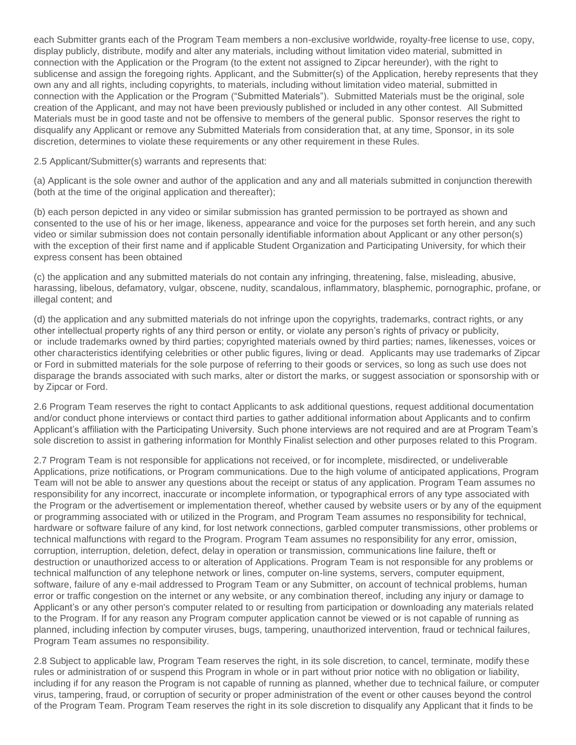each Submitter grants each of the Program Team members a non-exclusive worldwide, royalty-free license to use, copy, display publicly, distribute, modify and alter any materials, including without limitation video material, submitted in connection with the Application or the Program (to the extent not assigned to Zipcar hereunder), with the right to sublicense and assign the foregoing rights. Applicant, and the Submitter(s) of the Application, hereby represents that they own any and all rights, including copyrights, to materials, including without limitation video material, submitted in connection with the Application or the Program ("Submitted Materials"). Submitted Materials must be the original, sole creation of the Applicant, and may not have been previously published or included in any other contest. All Submitted Materials must be in good taste and not be offensive to members of the general public. Sponsor reserves the right to disqualify any Applicant or remove any Submitted Materials from consideration that, at any time, Sponsor, in its sole discretion, determines to violate these requirements or any other requirement in these Rules.

2.5 Applicant/Submitter(s) warrants and represents that:

(a) Applicant is the sole owner and author of the application and any and all materials submitted in conjunction therewith (both at the time of the original application and thereafter);

(b) each person depicted in any video or similar submission has granted permission to be portrayed as shown and consented to the use of his or her image, likeness, appearance and voice for the purposes set forth herein, and any such video or similar submission does not contain personally identifiable information about Applicant or any other person(s) with the exception of their first name and if applicable Student Organization and Participating University, for which their express consent has been obtained

(c) the application and any submitted materials do not contain any infringing, threatening, false, misleading, abusive, harassing, libelous, defamatory, vulgar, obscene, nudity, scandalous, inflammatory, blasphemic, pornographic, profane, or illegal content; and

(d) the application and any submitted materials do not infringe upon the copyrights, trademarks, contract rights, or any other intellectual property rights of any third person or entity, or violate any person's rights of privacy or publicity, or include trademarks owned by third parties; copyrighted materials owned by third parties; names, likenesses, voices or other characteristics identifying celebrities or other public figures, living or dead. Applicants may use trademarks of Zipcar or Ford in submitted materials for the sole purpose of referring to their goods or services, so long as such use does not disparage the brands associated with such marks, alter or distort the marks, or suggest association or sponsorship with or by Zipcar or Ford.

2.6 Program Team reserves the right to contact Applicants to ask additional questions, request additional documentation and/or conduct phone interviews or contact third parties to gather additional information about Applicants and to confirm Applicant's affiliation with the Participating University. Such phone interviews are not required and are at Program Team's sole discretion to assist in gathering information for Monthly Finalist selection and other purposes related to this Program.

2.7 Program Team is not responsible for applications not received, or for incomplete, misdirected, or undeliverable Applications, prize notifications, or Program communications. Due to the high volume of anticipated applications, Program Team will not be able to answer any questions about the receipt or status of any application. Program Team assumes no responsibility for any incorrect, inaccurate or incomplete information, or typographical errors of any type associated with the Program or the advertisement or implementation thereof, whether caused by website users or by any of the equipment or programming associated with or utilized in the Program, and Program Team assumes no responsibility for technical, hardware or software failure of any kind, for lost network connections, garbled computer transmissions, other problems or technical malfunctions with regard to the Program. Program Team assumes no responsibility for any error, omission, corruption, interruption, deletion, defect, delay in operation or transmission, communications line failure, theft or destruction or unauthorized access to or alteration of Applications. Program Team is not responsible for any problems or technical malfunction of any telephone network or lines, computer on-line systems, servers, computer equipment, software, failure of any e-mail addressed to Program Team or any Submitter, on account of technical problems, human error or traffic congestion on the internet or any website, or any combination thereof, including any injury or damage to Applicant's or any other person's computer related to or resulting from participation or downloading any materials related to the Program. If for any reason any Program computer application cannot be viewed or is not capable of running as planned, including infection by computer viruses, bugs, tampering, unauthorized intervention, fraud or technical failures, Program Team assumes no responsibility.

2.8 Subject to applicable law, Program Team reserves the right, in its sole discretion, to cancel, terminate, modify these rules or administration of or suspend this Program in whole or in part without prior notice with no obligation or liability, including if for any reason the Program is not capable of running as planned, whether due to technical failure, or computer virus, tampering, fraud, or corruption of security or proper administration of the event or other causes beyond the control of the Program Team. Program Team reserves the right in its sole discretion to disqualify any Applicant that it finds to be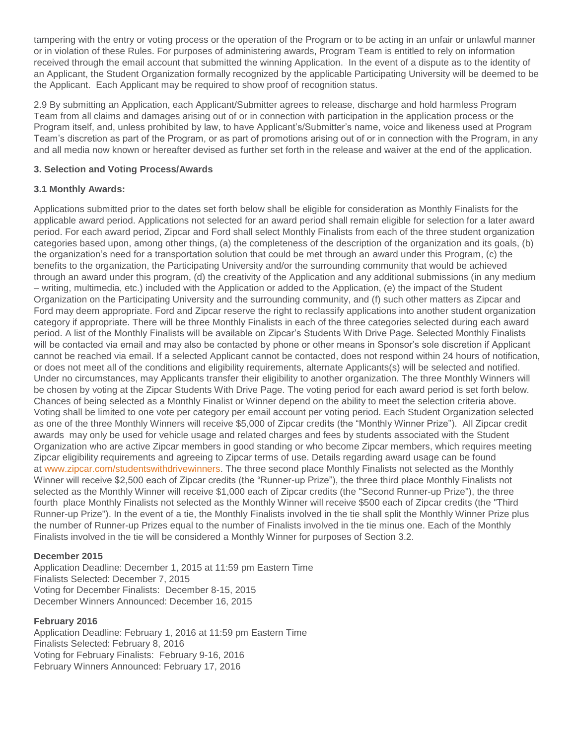tampering with the entry or voting process or the operation of the Program or to be acting in an unfair or unlawful manner or in violation of these Rules. For purposes of administering awards, Program Team is entitled to rely on information received through the email account that submitted the winning Application. In the event of a dispute as to the identity of an Applicant, the Student Organization formally recognized by the applicable Participating University will be deemed to be the Applicant. Each Applicant may be required to show proof of recognition status.

2.9 By submitting an Application, each Applicant/Submitter agrees to release, discharge and hold harmless Program Team from all claims and damages arising out of or in connection with participation in the application process or the Program itself, and, unless prohibited by law, to have Applicant's/Submitter's name, voice and likeness used at Program Team's discretion as part of the Program, or as part of promotions arising out of or in connection with the Program, in any and all media now known or hereafter devised as further set forth in the release and waiver at the end of the application.

## **3. Selection and Voting Process/Awards**

# **3.1 Monthly Awards:**

Applications submitted prior to the dates set forth below shall be eligible for consideration as Monthly Finalists for the applicable award period. Applications not selected for an award period shall remain eligible for selection for a later award period. For each award period, Zipcar and Ford shall select Monthly Finalists from each of the three student organization categories based upon, among other things, (a) the completeness of the description of the organization and its goals, (b) the organization's need for a transportation solution that could be met through an award under this Program, (c) the benefits to the organization, the Participating University and/or the surrounding community that would be achieved through an award under this program, (d) the creativity of the Application and any additional submissions (in any medium – writing, multimedia, etc.) included with the Application or added to the Application, (e) the impact of the Student Organization on the Participating University and the surrounding community, and (f) such other matters as Zipcar and Ford may deem appropriate. Ford and Zipcar reserve the right to reclassify applications into another student organization category if appropriate. There will be three Monthly Finalists in each of the three categories selected during each award period. A list of the Monthly Finalists will be available on Zipcar's Students With Drive Page. Selected Monthly Finalists will be contacted via email and may also be contacted by phone or other means in Sponsor's sole discretion if Applicant cannot be reached via email. If a selected Applicant cannot be contacted, does not respond within 24 hours of notification, or does not meet all of the conditions and eligibility requirements, alternate Applicants(s) will be selected and notified. Under no circumstances, may Applicants transfer their eligibility to another organization. The three Monthly Winners will be chosen by voting at the Zipcar Students With Drive Page. The voting period for each award period is set forth below. Chances of being selected as a Monthly Finalist or Winner depend on the ability to meet the selection criteria above. Voting shall be limited to one vote per category per email account per voting period. Each Student Organization selected as one of the three Monthly Winners will receive \$5,000 of Zipcar credits (the "Monthly Winner Prize"). All Zipcar credit awards may only be used for vehicle usage and related charges and fees by students associated with the Student Organization who are active Zipcar members in good standing or who become Zipcar members, which requires meeting Zipcar eligibility requirements and agreeing to Zipcar terms of use. Details regarding award usage can be found at [www.zipcar.com/studentswithdrivewinners.](http://www.zipcar.com/studentswithdrivewinners) The three second place Monthly Finalists not selected as the Monthly Winner will receive \$2,500 each of Zipcar credits (the "Runner-up Prize"), the three third place Monthly Finalists not selected as the Monthly Winner will receive \$1,000 each of Zipcar credits (the "Second Runner-up Prize"), the three fourth place Monthly Finalists not selected as the Monthly Winner will receive \$500 each of Zipcar credits (the "Third Runner-up Prize"). In the event of a tie, the Monthly Finalists involved in the tie shall split the Monthly Winner Prize plus the number of Runner-up Prizes equal to the number of Finalists involved in the tie minus one. Each of the Monthly Finalists involved in the tie will be considered a Monthly Winner for purposes of Section 3.2.

## **December 2015**

Application Deadline: December 1, 2015 at 11:59 pm Eastern Time Finalists Selected: December 7, 2015 Voting for December Finalists: December 8-15, 2015 December Winners Announced: December 16, 2015

## **February 2016**

Application Deadline: February 1, 2016 at 11:59 pm Eastern Time Finalists Selected: February 8, 2016 Voting for February Finalists: February 9-16, 2016 February Winners Announced: February 17, 2016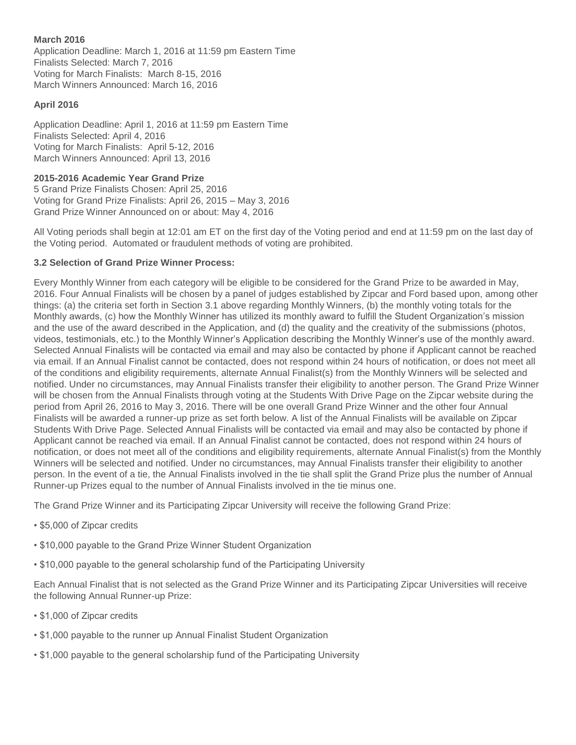## **March 2016**

Application Deadline: March 1, 2016 at 11:59 pm Eastern Time Finalists Selected: March 7, 2016 Voting for March Finalists: March 8-15, 2016 March Winners Announced: March 16, 2016

#### **April 2016**

Application Deadline: April 1, 2016 at 11:59 pm Eastern Time Finalists Selected: April 4, 2016 Voting for March Finalists: April 5-12, 2016 March Winners Announced: April 13, 2016

## **2015-2016 Academic Year Grand Prize**

5 Grand Prize Finalists Chosen: April 25, 2016 Voting for Grand Prize Finalists: April 26, 2015 – May 3, 2016 Grand Prize Winner Announced on or about: May 4, 2016

All Voting periods shall begin at 12:01 am ET on the first day of the Voting period and end at 11:59 pm on the last day of the Voting period. Automated or fraudulent methods of voting are prohibited.

# **3.2 Selection of Grand Prize Winner Process:**

Every Monthly Winner from each category will be eligible to be considered for the Grand Prize to be awarded in May, 2016. Four Annual Finalists will be chosen by a panel of judges established by Zipcar and Ford based upon, among other things: (a) the criteria set forth in Section 3.1 above regarding Monthly Winners, (b) the monthly voting totals for the Monthly awards, (c) how the Monthly Winner has utilized its monthly award to fulfill the Student Organization's mission and the use of the award described in the Application, and (d) the quality and the creativity of the submissions (photos, videos, testimonials, etc.) to the Monthly Winner's Application describing the Monthly Winner's use of the monthly award. Selected Annual Finalists will be contacted via email and may also be contacted by phone if Applicant cannot be reached via email. If an Annual Finalist cannot be contacted, does not respond within 24 hours of notification, or does not meet all of the conditions and eligibility requirements, alternate Annual Finalist(s) from the Monthly Winners will be selected and notified. Under no circumstances, may Annual Finalists transfer their eligibility to another person. The Grand Prize Winner will be chosen from the Annual Finalists through voting at the Students With Drive Page on the Zipcar website during the period from April 26, 2016 to May 3, 2016. There will be one overall Grand Prize Winner and the other four Annual Finalists will be awarded a runner-up prize as set forth below. A list of the Annual Finalists will be available on Zipcar Students With Drive Page. Selected Annual Finalists will be contacted via email and may also be contacted by phone if Applicant cannot be reached via email. If an Annual Finalist cannot be contacted, does not respond within 24 hours of notification, or does not meet all of the conditions and eligibility requirements, alternate Annual Finalist(s) from the Monthly Winners will be selected and notified. Under no circumstances, may Annual Finalists transfer their eligibility to another person. In the event of a tie, the Annual Finalists involved in the tie shall split the Grand Prize plus the number of Annual Runner-up Prizes equal to the number of Annual Finalists involved in the tie minus one.

The Grand Prize Winner and its Participating Zipcar University will receive the following Grand Prize:

- \$5,000 of Zipcar credits
- \$10,000 payable to the Grand Prize Winner Student Organization
- \$10,000 payable to the general scholarship fund of the Participating University

Each Annual Finalist that is not selected as the Grand Prize Winner and its Participating Zipcar Universities will receive the following Annual Runner-up Prize:

- \$1,000 of Zipcar credits
- \$1,000 payable to the runner up Annual Finalist Student Organization
- \$1,000 payable to the general scholarship fund of the Participating University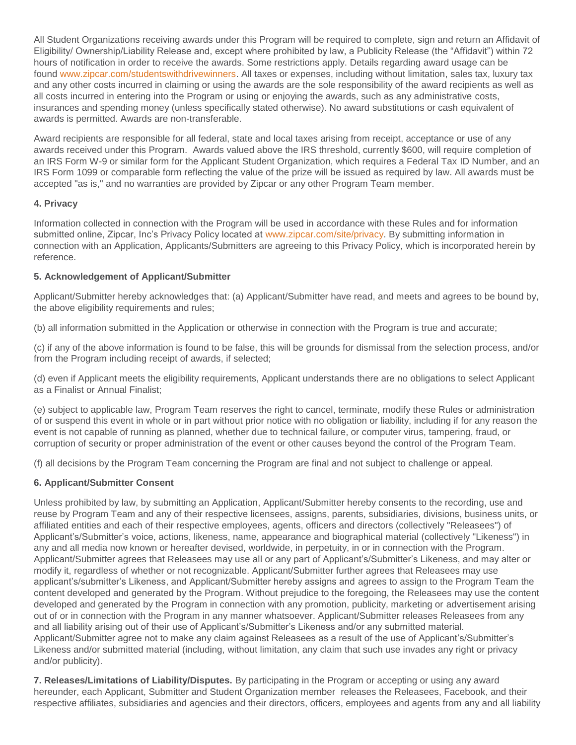All Student Organizations receiving awards under this Program will be required to complete, sign and return an Affidavit of Eligibility/ Ownership/Liability Release and, except where prohibited by law, a Publicity Release (the "Affidavit") within 72 hours of notification in order to receive the awards. Some restrictions apply. Details regarding award usage can be found [www.zipcar.com/studentswithdrivewinners.](http://www.zipcar.com/studentswithdrivewinners) All taxes or expenses, including without limitation, sales tax, luxury tax and any other costs incurred in claiming or using the awards are the sole responsibility of the award recipients as well as all costs incurred in entering into the Program or using or enjoying the awards, such as any administrative costs, insurances and spending money (unless specifically stated otherwise). No award substitutions or cash equivalent of awards is permitted. Awards are non-transferable.

Award recipients are responsible for all federal, state and local taxes arising from receipt, acceptance or use of any awards received under this Program. Awards valued above the IRS threshold, currently \$600, will require completion of an IRS Form W-9 or similar form for the Applicant Student Organization, which requires a Federal Tax ID Number, and an IRS Form 1099 or comparable form reflecting the value of the prize will be issued as required by law. All awards must be accepted "as is," and no warranties are provided by Zipcar or any other Program Team member.

# **4. Privacy**

Information collected in connection with the Program will be used in accordance with these Rules and for information submitted online, Zipcar, Inc's Privacy Policy located at [www.zipcar.com/site/privacy.](http://www.zipcar.com/site/privacy) By submitting information in connection with an Application, Applicants/Submitters are agreeing to this Privacy Policy, which is incorporated herein by reference.

# **5. Acknowledgement of Applicant/Submitter**

Applicant/Submitter hereby acknowledges that: (a) Applicant/Submitter have read, and meets and agrees to be bound by, the above eligibility requirements and rules;

(b) all information submitted in the Application or otherwise in connection with the Program is true and accurate;

(c) if any of the above information is found to be false, this will be grounds for dismissal from the selection process, and/or from the Program including receipt of awards, if selected;

(d) even if Applicant meets the eligibility requirements, Applicant understands there are no obligations to select Applicant as a Finalist or Annual Finalist;

(e) subject to applicable law, Program Team reserves the right to cancel, terminate, modify these Rules or administration of or suspend this event in whole or in part without prior notice with no obligation or liability, including if for any reason the event is not capable of running as planned, whether due to technical failure, or computer virus, tampering, fraud, or corruption of security or proper administration of the event or other causes beyond the control of the Program Team.

(f) all decisions by the Program Team concerning the Program are final and not subject to challenge or appeal.

# **6. Applicant/Submitter Consent**

Unless prohibited by law, by submitting an Application, Applicant/Submitter hereby consents to the recording, use and reuse by Program Team and any of their respective licensees, assigns, parents, subsidiaries, divisions, business units, or affiliated entities and each of their respective employees, agents, officers and directors (collectively "Releasees") of Applicant's/Submitter's voice, actions, likeness, name, appearance and biographical material (collectively "Likeness") in any and all media now known or hereafter devised, worldwide, in perpetuity, in or in connection with the Program. Applicant/Submitter agrees that Releasees may use all or any part of Applicant's/Submitter's Likeness, and may alter or modify it, regardless of whether or not recognizable. Applicant/Submitter further agrees that Releasees may use applicant's/submitter's Likeness, and Applicant/Submitter hereby assigns and agrees to assign to the Program Team the content developed and generated by the Program. Without prejudice to the foregoing, the Releasees may use the content developed and generated by the Program in connection with any promotion, publicity, marketing or advertisement arising out of or in connection with the Program in any manner whatsoever. Applicant/Submitter releases Releasees from any and all liability arising out of their use of Applicant's/Submitter's Likeness and/or any submitted material. Applicant/Submitter agree not to make any claim against Releasees as a result of the use of Applicant's/Submitter's Likeness and/or submitted material (including, without limitation, any claim that such use invades any right or privacy and/or publicity).

**7. Releases/Limitations of Liability/Disputes.** By participating in the Program or accepting or using any award hereunder, each Applicant, Submitter and Student Organization member releases the Releasees, Facebook, and their respective affiliates, subsidiaries and agencies and their directors, officers, employees and agents from any and all liability